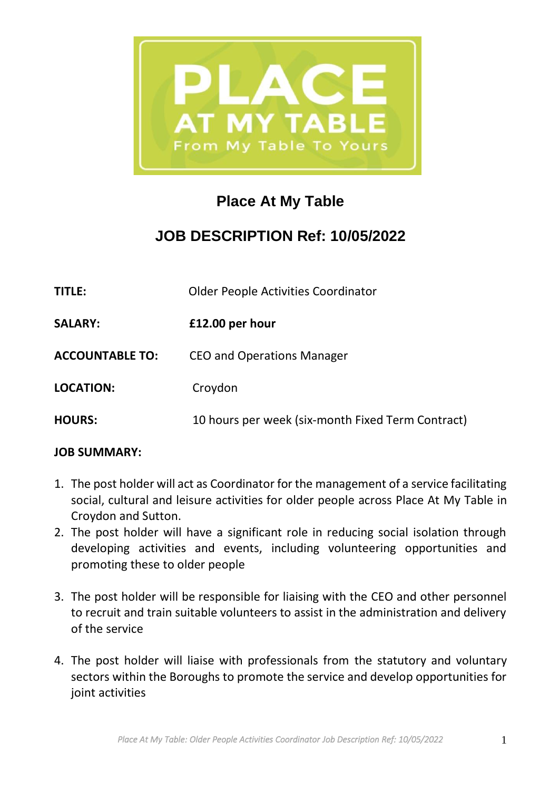

# **Place At My Table**

## **JOB DESCRIPTION Ref: 10/05/2022**

| <b>TITLE:</b>          | <b>Older People Activities Coordinator</b>        |
|------------------------|---------------------------------------------------|
| <b>SALARY:</b>         | £12.00 per hour                                   |
| <b>ACCOUNTABLE TO:</b> | <b>CEO and Operations Manager</b>                 |
| <b>LOCATION:</b>       | Croydon                                           |
| <b>HOURS:</b>          | 10 hours per week (six-month Fixed Term Contract) |

#### **JOB SUMMARY:**

- 1. The post holder will act as Coordinator for the management of a service facilitating social, cultural and leisure activities for older people across Place At My Table in Croydon and Sutton.
- 2. The post holder will have a significant role in reducing social isolation through developing activities and events, including volunteering opportunities and promoting these to older people
- 3. The post holder will be responsible for liaising with the CEO and other personnel to recruit and train suitable volunteers to assist in the administration and delivery of the service
- 4. The post holder will liaise with professionals from the statutory and voluntary sectors within the Boroughs to promote the service and develop opportunities for joint activities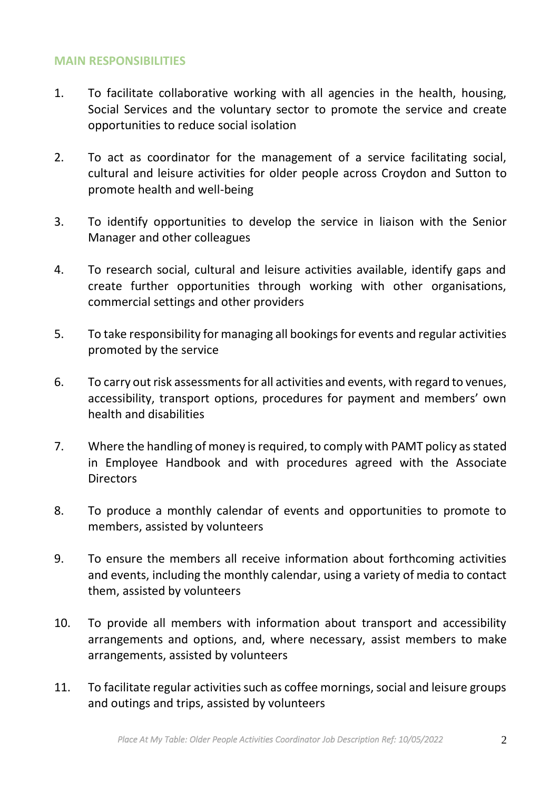#### **MAIN RESPONSIBILITIES**

- 1. To facilitate collaborative working with all agencies in the health, housing, Social Services and the voluntary sector to promote the service and create opportunities to reduce social isolation
- 2. To act as coordinator for the management of a service facilitating social, cultural and leisure activities for older people across Croydon and Sutton to promote health and well-being
- 3. To identify opportunities to develop the service in liaison with the Senior Manager and other colleagues
- 4. To research social, cultural and leisure activities available, identify gaps and create further opportunities through working with other organisations, commercial settings and other providers
- 5. To take responsibility for managing all bookings for events and regular activities promoted by the service
- 6. To carry out risk assessments for all activities and events, with regard to venues, accessibility, transport options, procedures for payment and members' own health and disabilities
- 7. Where the handling of money is required, to comply with PAMT policy as stated in Employee Handbook and with procedures agreed with the Associate **Directors**
- 8. To produce a monthly calendar of events and opportunities to promote to members, assisted by volunteers
- 9. To ensure the members all receive information about forthcoming activities and events, including the monthly calendar, using a variety of media to contact them, assisted by volunteers
- 10. To provide all members with information about transport and accessibility arrangements and options, and, where necessary, assist members to make arrangements, assisted by volunteers
- 11. To facilitate regular activities such as coffee mornings, social and leisure groups and outings and trips, assisted by volunteers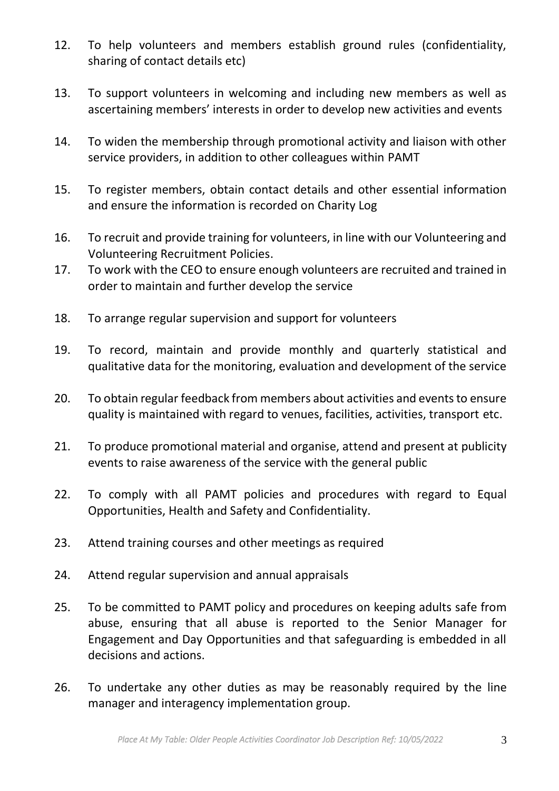- 12. To help volunteers and members establish ground rules (confidentiality, sharing of contact details etc)
- 13. To support volunteers in welcoming and including new members as well as ascertaining members' interests in order to develop new activities and events
- 14. To widen the membership through promotional activity and liaison with other service providers, in addition to other colleagues within PAMT
- 15. To register members, obtain contact details and other essential information and ensure the information is recorded on Charity Log
- 16. To recruit and provide training for volunteers, in line with our Volunteering and Volunteering Recruitment Policies.
- 17. To work with the CEO to ensure enough volunteers are recruited and trained in order to maintain and further develop the service
- 18. To arrange regular supervision and support for volunteers
- 19. To record, maintain and provide monthly and quarterly statistical and qualitative data for the monitoring, evaluation and development of the service
- 20. To obtain regular feedback from members about activities and events to ensure quality is maintained with regard to venues, facilities, activities, transport etc.
- 21. To produce promotional material and organise, attend and present at publicity events to raise awareness of the service with the general public
- 22. To comply with all PAMT policies and procedures with regard to Equal Opportunities, Health and Safety and Confidentiality.
- 23. Attend training courses and other meetings as required
- 24. Attend regular supervision and annual appraisals
- 25. To be committed to PAMT policy and procedures on keeping adults safe from abuse, ensuring that all abuse is reported to the Senior Manager for Engagement and Day Opportunities and that safeguarding is embedded in all decisions and actions.
- 26. To undertake any other duties as may be reasonably required by the line manager and interagency implementation group.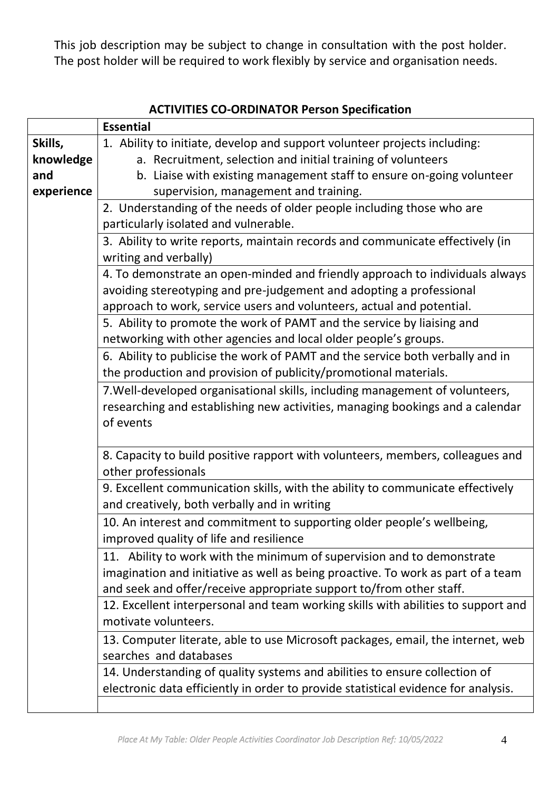This job description may be subject to change in consultation with the post holder. The post holder will be required to work flexibly by service and organisation needs.

|            | <b>Essential</b>                                                                   |  |
|------------|------------------------------------------------------------------------------------|--|
| Skills,    | 1. Ability to initiate, develop and support volunteer projects including:          |  |
|            |                                                                                    |  |
| knowledge  | a. Recruitment, selection and initial training of volunteers                       |  |
| and        | b. Liaise with existing management staff to ensure on-going volunteer              |  |
| experience | supervision, management and training.                                              |  |
|            | 2. Understanding of the needs of older people including those who are              |  |
|            | particularly isolated and vulnerable.                                              |  |
|            | 3. Ability to write reports, maintain records and communicate effectively (in      |  |
|            | writing and verbally)                                                              |  |
|            | 4. To demonstrate an open-minded and friendly approach to individuals always       |  |
|            | avoiding stereotyping and pre-judgement and adopting a professional                |  |
|            | approach to work, service users and volunteers, actual and potential.              |  |
|            | 5. Ability to promote the work of PAMT and the service by liaising and             |  |
|            | networking with other agencies and local older people's groups.                    |  |
|            | 6. Ability to publicise the work of PAMT and the service both verbally and in      |  |
|            | the production and provision of publicity/promotional materials.                   |  |
|            |                                                                                    |  |
|            | 7. Well-developed organisational skills, including management of volunteers,       |  |
|            | researching and establishing new activities, managing bookings and a calendar      |  |
|            | of events                                                                          |  |
|            |                                                                                    |  |
|            | 8. Capacity to build positive rapport with volunteers, members, colleagues and     |  |
|            | other professionals                                                                |  |
|            | 9. Excellent communication skills, with the ability to communicate effectively     |  |
|            | and creatively, both verbally and in writing                                       |  |
|            | 10. An interest and commitment to supporting older people's wellbeing,             |  |
|            | improved quality of life and resilience                                            |  |
|            | 11. Ability to work with the minimum of supervision and to demonstrate             |  |
|            | imagination and initiative as well as being proactive. To work as part of a team   |  |
|            |                                                                                    |  |
|            | and seek and offer/receive appropriate support to/from other staff.                |  |
|            | 12. Excellent interpersonal and team working skills with abilities to support and  |  |
|            | motivate volunteers.                                                               |  |
|            | 13. Computer literate, able to use Microsoft packages, email, the internet, web    |  |
|            | searches and databases                                                             |  |
|            | 14. Understanding of quality systems and abilities to ensure collection of         |  |
|            | electronic data efficiently in order to provide statistical evidence for analysis. |  |
|            |                                                                                    |  |

### **ACTIVITIES CO-ORDINATOR Person Specification**